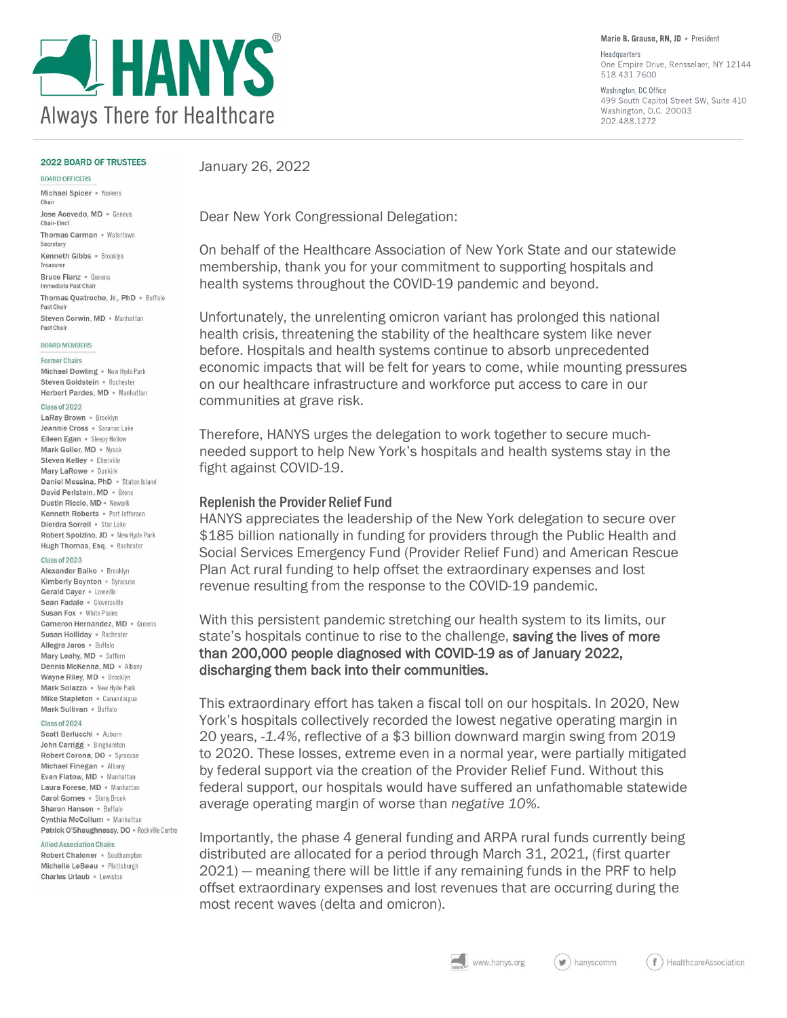

Marie B. Grause. RN. JD . President

Headquarters One Empire Drive, Rensselaer, NY 12144 518.431.7600

Washington, DC Office 499 South Capitol Street SW, Suite 410 Washington, D.C. 20003 202.488.1272

### **2022 BOARD OF TRUSTEES**

#### BOARD OFFICERS

Michael Spicer . Yonkers

January 26, 2022

Dear New York Congressional Delegation:

On behalf of the Healthcare Association of New York State and our statewide membership, thank you for your commitment to supporting hospitals and health systems throughout the COVID-19 pandemic and beyond.

Unfortunately, the unrelenting omicron variant has prolonged this national health crisis, threatening the stability of the healthcare system like never before. Hospitals and health systems continue to absorb unprecedented economic impacts that will be felt for years to come, while mounting pressures on our healthcare infrastructure and workforce put access to care in our communities at grave risk.

Therefore, HANYS urges the delegation to work together to secure muchneeded support to help New York's hospitals and health systems stay in the fight against COVID-19.

### Replenish the Provider Relief Fund

HANYS appreciates the leadership of the New York delegation to secure over \$185 billion nationally in funding for providers through the Public Health and Social Services Emergency Fund (Provider Relief Fund) and American Rescue Plan Act rural funding to help offset the extraordinary expenses and lost revenue resulting from the response to the COVID-19 pandemic.

With this persistent pandemic stretching our health system to its limits, our state's hospitals continue to rise to the challenge, saving the lives of more than 200,000 people diagnosed with COVID-19 as of January 2022, discharging them back into their communities.

This extraordinary effort has taken a fiscal toll on our hospitals. In 2020, New York's hospitals collectively recorded the lowest negative operating margin in 20 years, *-1.4%*, reflective of a \$3 billion downward margin swing from 2019 to 2020. These losses, extreme even in a normal year, were partially mitigated by federal support via the creation of the Provider Relief Fund. Without this federal support, our hospitals would have suffered an unfathomable statewide average operating margin of worse than *negative 10%*.

Importantly, the phase 4 general funding and ARPA rural funds currently being distributed are allocated for a period through March 31, 2021, (first quarter 2021) — meaning there will be little if any remaining funds in the PRF to help offset extraordinary expenses and lost revenues that are occurring during the most recent waves (delta and omicron).

Chair Jose Acevedo, MD · Geneva Chair-Elect Thomas Carman . Watertown Secretary Kenneth Gibbs . Brooklyn Treasurer Bruce Flanz · Queens Immediate Past Chair Thomas Quatroche, Jr., PhD . Buffalo Past Chair Steven Corwin, MD . Manhattan Past Chair

### **BOARD MEMBERS**

### **Former Chairs**

Michael Dowling . New Hyde Park Steven Goldstein · Rochester Herbert Pardes, MD . Manhattan

### Class of 2022

LaRay Brown . Brooklyn Jeannie Cross · Saranac Lake Eileen Egan . Sleepy Hollow Mark Geller, MD . Nyack Steven Kelley . Ellenville Mary LaRowe . Dunkirk Daniel Messina, PhD . Staten Island David Perlstein, MD . Bronx Dustin Riccio, MD · Newark Kenneth Roberts . Port Jefferson Dierdra Sorrell . Star Lake Robert Spolzino, JD . New Hyde Park Hugh Thomas, Esq. • Rochester

### Class of 2023

Alexander Balko · Brooklyn Kimberly Boynton . Syracuse Gerald Caver . Lowville Sean Fadale . Gloversville Susan Fox . White Plains Cameron Hernandez, MD · Queens Susan Holliday . Rochester Allegra Jaros · Buffalo Mary Leahy, MD . Suffern Dennis McKenna, MD · Albany Wayne Riley, MD . Brooklyn Mark Solazzo . New Hyde Park Mike Stapleton • Canandaigua Mark Sullivan . Buffalo

### Class of 2024

Scott Berlucchi • Auburn John Carrigg . Binghamton Robert Corona, DO . Syracuse Michael Finegan . Albany Evan Flatow, MD . Manhattan Laura Forese, MD . Manhattan Carol Gomes . Stony Brook Sharon Hanson . Buffalo Cynthia McCollum . Manhattan Patrick O'Shaughnessy, DO . Rockville Centre

#### **Allied Association Chairs**

Robert Chaloner . Southampton Michelle LeBeau . Plattsburgh Charles Urlaub . Lewiston

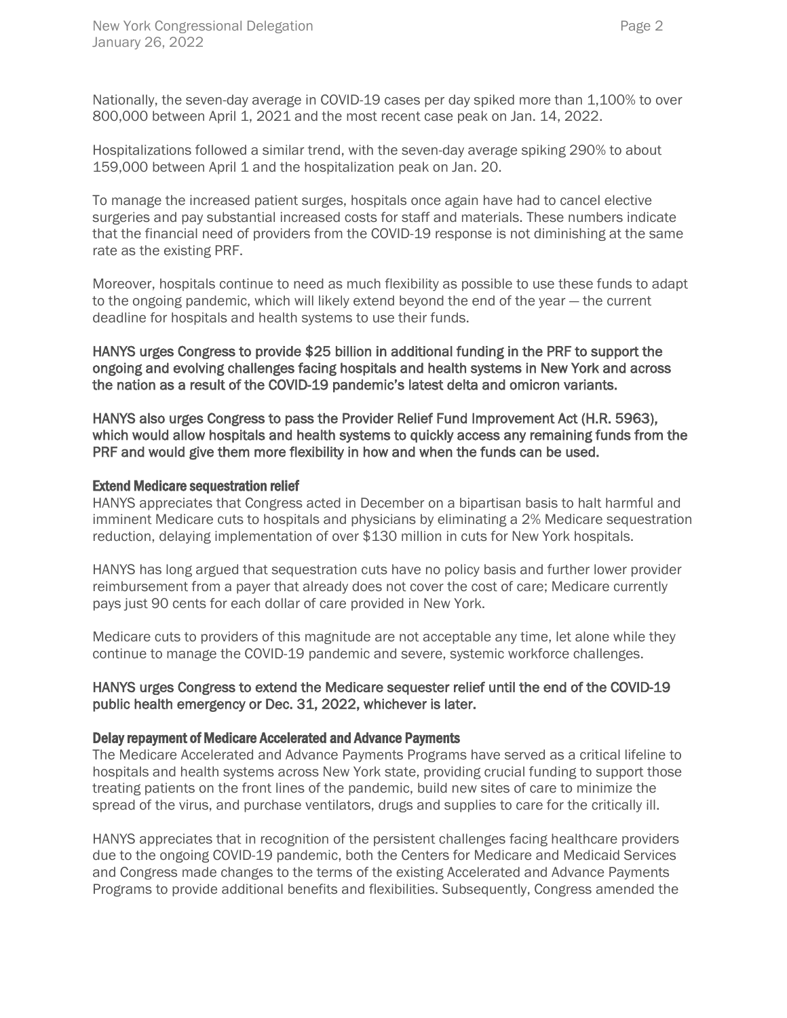Nationally, the seven-day average in COVID-19 cases per day spiked more than 1,100% to over 800,000 between April 1, 2021 and the most recent case peak on Jan. 14, 2022.

Hospitalizations followed a similar trend, with the seven-day average spiking 290% to about 159,000 between April 1 and the hospitalization peak on Jan. 20.

To manage the increased patient surges, hospitals once again have had to cancel elective surgeries and pay substantial increased costs for staff and materials. These numbers indicate that the financial need of providers from the COVID-19 response is not diminishing at the same rate as the existing PRF.

Moreover, hospitals continue to need as much flexibility as possible to use these funds to adapt to the ongoing pandemic, which will likely extend beyond the end of the year — the current deadline for hospitals and health systems to use their funds.

HANYS urges Congress to provide \$25 billion in additional funding in the PRF to support the ongoing and evolving challenges facing hospitals and health systems in New York and across the nation as a result of the COVID-19 pandemic's latest delta and omicron variants.

HANYS also urges Congress to pass the Provider Relief Fund Improvement Act (H.R. 5963), which would allow hospitals and health systems to quickly access any remaining funds from the PRF and would give them more flexibility in how and when the funds can be used.

## Extend Medicare sequestration relief

HANYS appreciates that Congress acted in December on a bipartisan basis to halt harmful and imminent Medicare cuts to hospitals and physicians by eliminating a 2% Medicare sequestration reduction, delaying implementation of over \$130 million in cuts for New York hospitals.

HANYS has long argued that sequestration cuts have no policy basis and further lower provider reimbursement from a payer that already does not cover the cost of care; Medicare currently pays just 90 cents for each dollar of care provided in New York.

Medicare cuts to providers of this magnitude are not acceptable any time, let alone while they continue to manage the COVID-19 pandemic and severe, systemic workforce challenges.

# HANYS urges Congress to extend the Medicare sequester relief until the end of the COVID-19 public health emergency or Dec. 31, 2022, whichever is later.

### Delay repayment of Medicare Accelerated and Advance Payments

The Medicare Accelerated and Advance Payments Programs have served as a critical lifeline to hospitals and health systems across New York state, providing crucial funding to support those treating patients on the front lines of the pandemic, build new sites of care to minimize the spread of the virus, and purchase ventilators, drugs and supplies to care for the critically ill.

HANYS appreciates that in recognition of the persistent challenges facing healthcare providers due to the ongoing COVID-19 pandemic, both the Centers for Medicare and Medicaid Services and Congress made changes to the terms of the existing Accelerated and Advance Payments Programs to provide additional benefits and flexibilities. Subsequently, Congress amended the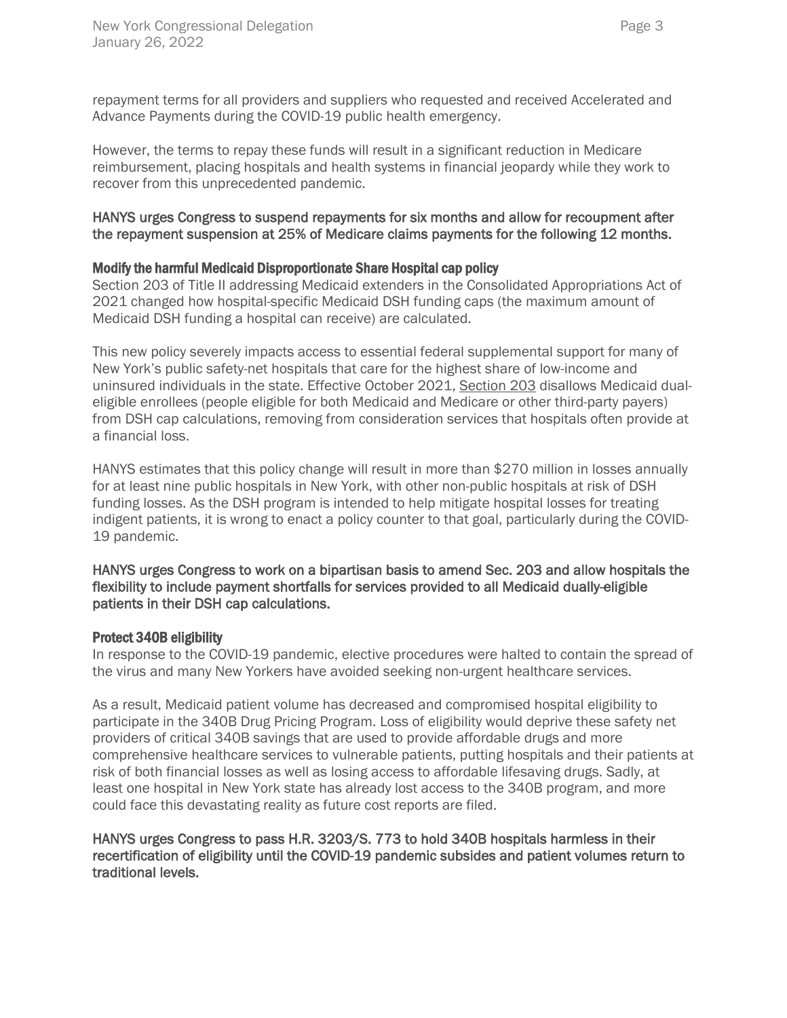repayment terms for all providers and suppliers who requested and received Accelerated and Advance Payments during the COVID-19 public health emergency.

However, the terms to repay these funds will result in a significant reduction in Medicare reimbursement, placing hospitals and health systems in financial jeopardy while they work to recover from this unprecedented pandemic.

# HANYS urges Congress to suspend repayments for six months and allow for recoupment after the repayment suspension at 25% of Medicare claims payments for the following 12 months.

# Modify the harmful Medicaid Disproportionate Share Hospital cap policy

Section 203 of Title II addressing Medicaid extenders in the Consolidated Appropriations Act of 2021 changed how hospital-specific Medicaid DSH funding caps (the maximum amount of Medicaid DSH funding a hospital can receive) are calculated.

This new policy severely impacts access to essential federal supplemental support for many of New York's public safety-net hospitals that care for the highest share of low-income and uninsured individuals in the state. Effective October 2021, [Section 203](https://www.hanys.org/fetch/?file=/government_affairs/federal/2021-04_section_203_whitepaper.pdf) disallows Medicaid dualeligible enrollees (people eligible for both Medicaid and Medicare or other third-party payers) from DSH cap calculations, removing from consideration services that hospitals often provide at a financial loss.

HANYS estimates that this policy change will result in more than \$270 million in losses annually for at least nine public hospitals in New York, with other non-public hospitals at risk of DSH funding losses. As the DSH program is intended to help mitigate hospital losses for treating indigent patients, it is wrong to enact a policy counter to that goal, particularly during the COVID-19 pandemic.

# HANYS urges Congress to work on a bipartisan basis to amend Sec. 203 and allow hospitals the flexibility to include payment shortfalls for services provided to all Medicaid dually-eligible patients in their DSH cap calculations.

# Protect 340B eligibility

In response to the COVID-19 pandemic, elective procedures were halted to contain the spread of the virus and many New Yorkers have avoided seeking non-urgent healthcare services.

As a result, Medicaid patient volume has decreased and compromised hospital eligibility to participate in the 340B Drug Pricing Program. Loss of eligibility would deprive these safety net providers of critical 340B savings that are used to provide affordable drugs and more comprehensive healthcare services to vulnerable patients, putting hospitals and their patients at risk of both financial losses as well as losing access to affordable lifesaving drugs. Sadly, at least one hospital in New York state has already lost access to the 340B program, and more could face this devastating reality as future cost reports are filed.

# HANYS urges Congress to pass H.R. 3203/S. 773 to hold 340B hospitals harmless in their recertification of eligibility until the COVID-19 pandemic subsides and patient volumes return to traditional levels.